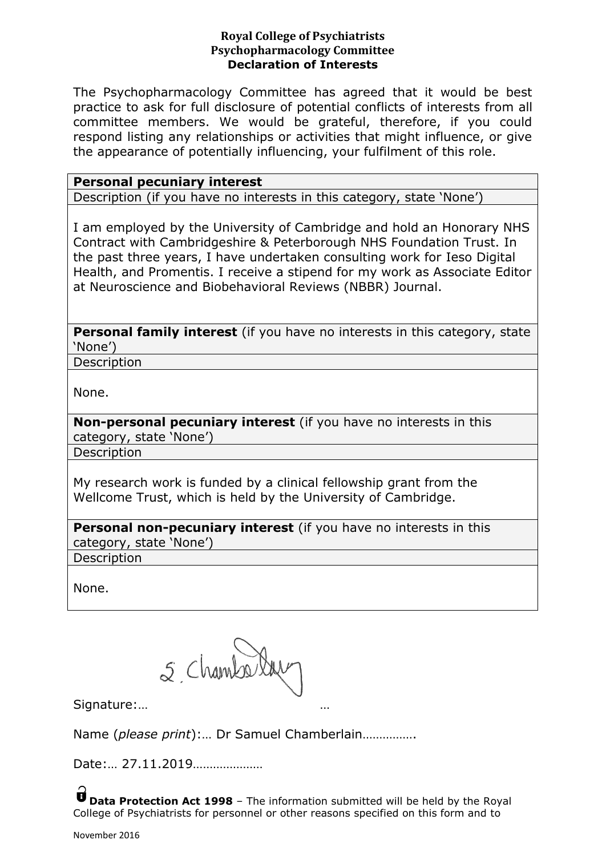## **Royal College of Psychiatrists Psychopharmacology Committee Declaration of Interests**

The Psychopharmacology Committee has agreed that it would be best practice to ask for full disclosure of potential conflicts of interests from all committee members. We would be grateful, therefore, if you could respond listing any relationships or activities that might influence, or give the appearance of potentially influencing, your fulfilment of this role.

| <b>Personal pecuniary interest</b>                                         |
|----------------------------------------------------------------------------|
| Description (if you have no interests in this category, state 'None')      |
|                                                                            |
| I am employed by the University of Cambridge and hold an Honorary NHS      |
| Contract with Cambridgeshire & Peterborough NHS Foundation Trust. In       |
| the past three years, I have undertaken consulting work for Ieso Digital   |
| Health, and Promentis. I receive a stipend for my work as Associate Editor |
| at Neuroscience and Biobehavioral Reviews (NBBR) Journal.                  |
|                                                                            |

**Personal family interest** (if you have no interests in this category, state 'None')

Description

None.

**Non-personal pecuniary interest** (if you have no interests in this category, state 'None')

Description

My research work is funded by a clinical fellowship grant from the Wellcome Trust, which is held by the University of Cambridge.

**Personal non-pecuniary interest** (if you have no interests in this category, state 'None')

Description

None.

5, Chamberlac

Signature:… …

Name (*please print*):… Dr Samuel Chamberlain…………….

Date:… 27.11.2019…………………

**U** Data Protection Act 1998 - The information submitted will be held by the Royal College of Psychiatrists for personnel or other reasons specified on this form and to